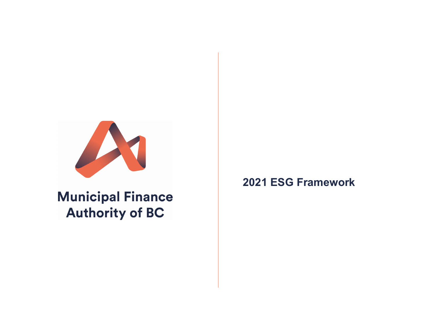

**Municipal Finance Authority of BC** 

**2021 ESG Framework**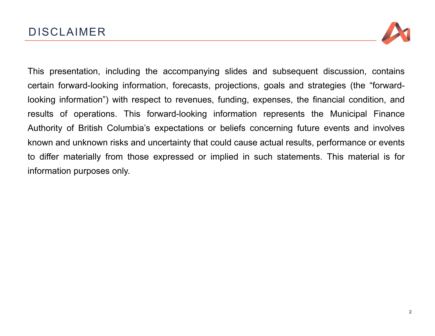

This presentation, including the accompanying slides and subsequent discussion, contains certain forward-looking information, forecasts, projections, goals and strategies (the "forwardlooking information") with respect to revenues, funding, expenses, the financial condition, and results of operations. This forward-looking information represents the Municipal Finance Authority of British Columbia's expectations or beliefs concerning future events and involves known and unknown risks and uncertainty that could cause actual results, performance or events to differ materially from those expressed or implied in such statements. This material is for information purposes only.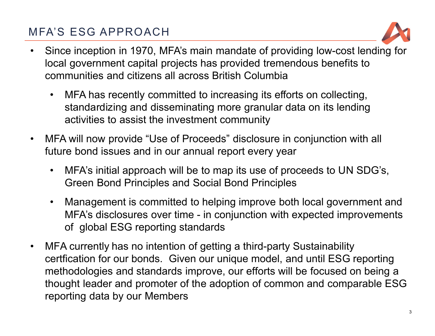# MFA'S ESG APPROACH



- $\bullet$  Since inception in 1970, MFA's main mandate of providing low-cost lending for local government capital projects has provided tremendous benefits to communities and citizens all across British Columbia
	- • MFA has recently committed to increasing its efforts on collecting, standardizing and disseminating more granular data on its lending activities to assist the investment community
- $\bullet$  MFA will now provide "Use of Proceeds" disclosure in conjunction with all future bond issues and in our annual report every year
	- • MFA's initial approach will be to map its use of proceeds to UN SDG's, Green Bond Principles and Social Bond Principles
	- • Management is committed to helping improve both local government and MFA's disclosures over time - in conjunction with expected improvements of global ESG reporting standards
- $\bullet$ • MFA currently has no intention of getting a third-party Sustainability<br>
Since the Contract of the Circuit Contract of the Contract of the Contract of the Contract of the Contract of certfication for our bonds. Given our unique model, and until ESG reporting methodologies and standards improve, our efforts will be focused on being a thought leader and promoter of the adoption of common and comparable ESG reporting data by our Members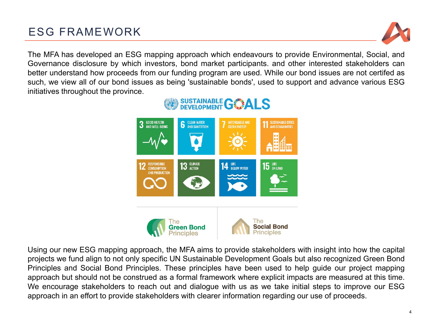# ESG FRAMEWORK



The MFA has developed an ESG mapping approach which endeavours to provide Environmental, Social, and Governance disclosure by which investors, bond market participants. and other interested stakeholders can better understand how proceeds from our funding program are used. While our bond issues are not certifed as such, we view all of our bond issues as being 'sustainable bonds', used to support and advance various ESG initiatives throughout the province.



Using our new ESG mapping approach, the MFA aims to provide stakeholders with insight into how the capital projects we fund align to not only specific UN Sustainable Development Goals but also recognized Green Bond Principles and Social Bond Principles. These principles have been used to help guide our project mapping approach but should not be construed as <sup>a</sup> formal framework where explicit impacts are measured at this time. We encourage stakeholders to reach out and dialogue with us as we take initial steps to improve our ESG approach in an effort to provide stakeholders with clearer information regarding our use of proceeds.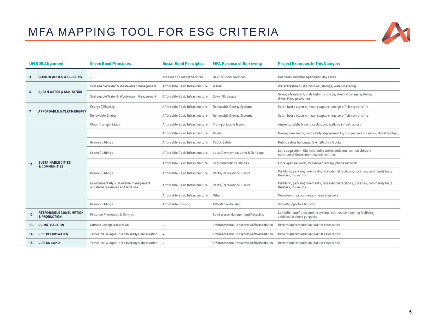## MFA MAPPING TOOL FOR ESG CRITERIA



|    | <b>UN SDG Alignment</b>                        | <b>Green Bond Principles</b>                                                | <b>Social Bond Principles</b>   | <b>MFA Purpose of Borrowing</b>        | <b>Project Examples In This Category</b>                                                                        |
|----|------------------------------------------------|-----------------------------------------------------------------------------|---------------------------------|----------------------------------------|-----------------------------------------------------------------------------------------------------------------|
|    | <b>GOOD HEALTH &amp; WELLBEING</b>             |                                                                             | Access to Essential Services    | Health/Social Services                 | Hospitals, hospital equipment, day cares                                                                        |
|    | <b>CLEAN WATER &amp; SANITATION</b>            | Sustainable Water & Wastewater Management                                   | Affordable Basic Infrastructure | Water                                  | Water treatment, distribution, storage, water metering                                                          |
|    |                                                | Sustainable Water & Wastewater Management                                   | Affordable Basic Infrastructure | Sewer/Drainage                         | Sewage treatment, distribution, storage, storm drainage systems,<br>dikes, flood protection                     |
|    | <b>AFFORDABLE &amp; CLEAN ENERGY</b>           | Energy Efficiency                                                           | Affordable Basic Infrastructure | Renewable Energy Systems               | Solar, hydro electric, heat recapture, energy efficiency retrofits                                              |
|    |                                                | Renewable Energy                                                            | Affordable Basic Infrastructure | Renewable Energy Systems               | Solar, hydro electric, heat recapture, energy efficiency retrofits                                              |
|    |                                                | Clean Transportation                                                        | Affordable Basic Infrastructure | Transportation/Transit                 | Airports, public transit, cycling and walking infrastructure                                                    |
|    |                                                |                                                                             | Affordable Basic Infrastructure | Roads                                  | Paving, new roads, road safety improvements, bridges, interchanges, street lighting                             |
|    | <b>SUSTAINABLE CITIES</b><br>& COMMUNITIES     | Green Buildings                                                             | Affordable Basic Infrastructure | Public Safety                          | Public safety buildings, fire halls, fire trucks                                                                |
|    |                                                | Green Buildings                                                             | Affordable Basic Infrastructure | Local Government Land & Buildings      | Land acquisition, City hall, pubic works buildings, animal shelters,<br>other Local Government owned facilities |
| 11 |                                                |                                                                             | Affordable Basic Infrastructure | <b>Communications Utilities</b>        | Fibre optic network, TV rebroadcasting, phone network                                                           |
|    |                                                | Green Buildings                                                             | Affordable Basic Infrastructure | Parks/Recreation/Culture               | Parkland, park improvements, recreational facilities, libraries, community halls,<br>theaters, museums          |
|    |                                                | Environmentally sustainable management<br>of natural resources and land use | Affordable Basic Infrastructure | Parks/Recreation/Culture               | Parkland, park improvements, recreational facilities, libraries, community halls,<br>theaters, museums          |
|    |                                                |                                                                             | Affordable Basic Infrastructure | Other                                  | Cemetery improvements, cruise ship dock                                                                         |
|    |                                                | Green Buildings                                                             | Affordable Housing              | Affordable Housing                     | Social/supportive housing                                                                                       |
| 12 | <b>RESPONSIBLE CONSUMPTION</b><br>& PRODUCTION | Pollution Prevention & Control                                              |                                 | Solid Waste Management/Recycling       | Landfills, landfill closure, recycling facilities, composting facilities,<br>vehicles for these purposes        |
| 13 | <b>CLIMATE ACTION</b>                          | Climate Change Adaptation                                                   | $\overline{\phantom{a}}$        | Environmental Conservation/Remediation | Brownfield remediation, habitat restoration                                                                     |
|    | <b>LIFE BELOW WATER</b>                        | Terrestrial & Aquatic Biodiversity Conservation                             |                                 | Environmental Conservation/Remediation | Brownfield remediation, habitat restoration                                                                     |
| 15 | <b>LIFE ON LAND</b>                            | Terrestrial & Aquatic Biodiversity Conservation -                           |                                 | Environmental Conservation/Remediation | Brownfield remediation, habitat restoration                                                                     |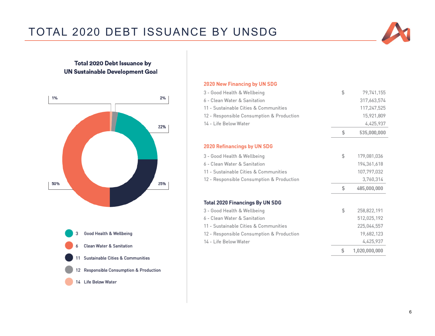# TOTAL 2020 DEBT ISSUANCE BY UNSDG

### **Total 2020 Debt Issuance by UN Sustainable Development Goal**



#### 2020 New Financing by UN SDG

| 3 - Good Health & Wellbeing               | \$<br>79,741,155    |
|-------------------------------------------|---------------------|
| 6 - Clean Water & Sanitation              | 317,663,574         |
| 11 - Sustainable Cities & Communities     | 117,247,525         |
| 12 - Responsible Consumption & Production | 15,921,809          |
| 14 - Life Below Water                     | 4,425,937           |
|                                           | \$<br>535,000,000   |
| 2020 Refinancings by UN SDG               |                     |
| 3 - Good Health & Wellbeing               | \$<br>179,081,036   |
| 6 - Clean Water & Sanitation              | 194,361,618         |
| 11 - Sustainable Cities & Communities     | 107,797,032         |
| 12 - Responsible Consumption & Production | 3,760,314           |
|                                           | \$<br>485,000,000   |
| <b>Total 2020 Financings By UN SDG</b>    |                     |
| 3 - Good Health & Wellbeing               | \$<br>258,822,191   |
| 6 - Clean Water & Sanitation              | 512,025,192         |
| 11 - Sustainable Cities & Communities     | 225,044,557         |
| 12 - Responsible Consumption & Production | 19,682,123          |
| 14 - Life Below Water                     | 4,425,937           |
|                                           | \$<br>1,020,000,000 |
|                                           |                     |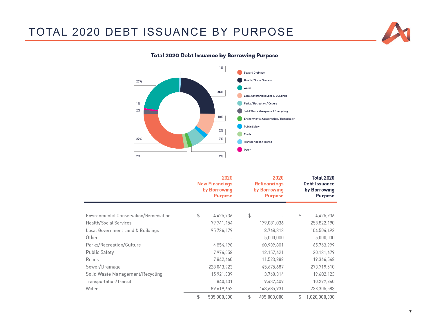### TOTAL 2020 DEBT ISSUANCE BY PURPOSE





### **Total 2020 Debt Issuance by Borrowing Purpose**

|                                        | 2020<br><b>New Financings</b><br>by Borrowing<br><b>Purpose</b> | 2020<br><b>Refinancings</b><br>by Borrowing<br><b>Purpose</b> | <b>Total 2020</b><br>Debt Issuance<br>by Borrowing<br><b>Purpose</b> |
|----------------------------------------|-----------------------------------------------------------------|---------------------------------------------------------------|----------------------------------------------------------------------|
| Environmental Conservation/Remediation | \$<br>4,425,936                                                 | \$                                                            | \$<br>4,425,936                                                      |
| Health/Social Services                 | 79,741,154                                                      | 179,081,036                                                   | 258,822,190                                                          |
| Local Government Land & Buildings      | 95,736,179                                                      | 8,768,313                                                     | 104,504,492                                                          |
| Other                                  |                                                                 | 5,000,000                                                     | 5,000,000                                                            |
| Parks/Recreation/Culture               | 4,854,198                                                       | 60,909,801                                                    | 65,763,999                                                           |
| <b>Public Safety</b>                   | 7,974,058                                                       | 12,157,621                                                    | 20,131,679                                                           |
| Roads                                  | 7,842,660                                                       | 11,523,888                                                    | 19,366,548                                                           |
| Sewer/Drainage                         | 228,043,923                                                     | 45,675,687                                                    | 273,719,610                                                          |
| Solid Waste Management/Recycling       | 15,921,809                                                      | 3,760,314                                                     | 19,682,123                                                           |
| Transportation/Transit                 | 840,431                                                         | 9,437,409                                                     | 10,277,840                                                           |
| Water                                  | 89,619,652                                                      | 148,685,931                                                   | 238,305,583                                                          |
|                                        | \$<br>535,000,000                                               | \$<br>485,000,000                                             | \$<br>1,020,000,000                                                  |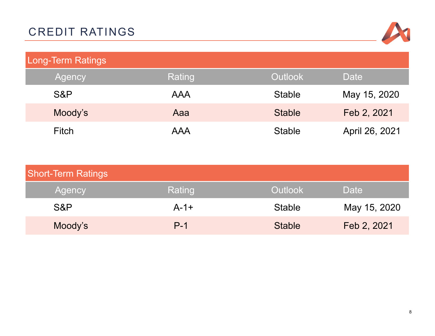

| Long-Term Ratings |            |                |                |  |  |
|-------------------|------------|----------------|----------------|--|--|
| Agency            | Rating     | <b>Outlook</b> | Date           |  |  |
| S&P               | <b>AAA</b> | <b>Stable</b>  | May 15, 2020   |  |  |
| Moody's           | Aaa        | <b>Stable</b>  | Feb 2, 2021    |  |  |
| <b>Fitch</b>      | <b>AAA</b> | <b>Stable</b>  | April 26, 2021 |  |  |

| <b>Short-Term Ratings</b> |        |                |              |  |  |
|---------------------------|--------|----------------|--------------|--|--|
| Agency                    | Rating | <b>Outlook</b> | Date         |  |  |
| S&P                       | $A-1+$ | <b>Stable</b>  | May 15, 2020 |  |  |
| Moody's                   | $P-1$  | <b>Stable</b>  | Feb 2, 2021  |  |  |